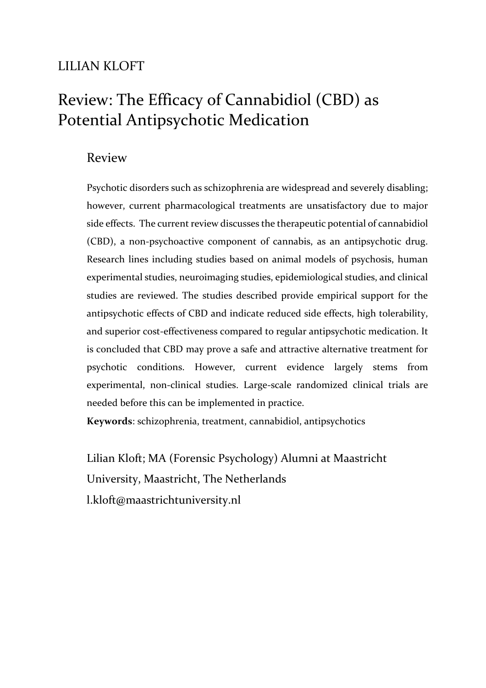## LILIAN KLOFT

# Review: The Efficacy of Cannabidiol (CBD) as Potential Antipsychotic Medication

### Review

Psychotic disorders such as schizophrenia are widespread and severely disabling; however, current pharmacological treatments are unsatisfactory due to major side effects. The current review discusses the therapeutic potential of cannabidiol (CBD), a non-psychoactive component of cannabis, as an antipsychotic drug. Research lines including studies based on animal models of psychosis, human experimental studies, neuroimaging studies, epidemiological studies, and clinical studies are reviewed. The studies described provide empirical support for the antipsychotic effects of CBD and indicate reduced side effects, high tolerability, and superior cost-effectiveness compared to regular antipsychotic medication. It is concluded that CBD may prove a safe and attractive alternative treatment for psychotic conditions. However, current evidence largely stems from experimental, non-clinical studies. Large-scale randomized clinical trials are needed before this can be implemented in practice.

**Keywords**: schizophrenia, treatment, cannabidiol, antipsychotics

Lilian Kloft; MA (Forensic Psychology) Alumni at Maastricht University, Maastricht, The Netherlands l.kloft@maastrichtuniversity.nl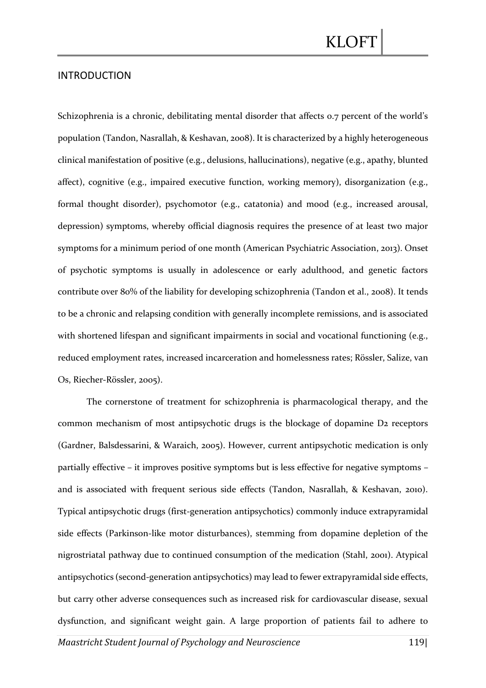#### INTRODUCTION

Schizophrenia is a chronic, debilitating mental disorder that affects 0.7 percent of the world's population (Tandon, Nasrallah, & Keshavan, 2008). It is characterized by a highly heterogeneous clinical manifestation of positive (e.g., delusions, hallucinations), negative (e.g., apathy, blunted affect), cognitive (e.g., impaired executive function, working memory), disorganization (e.g., formal thought disorder), psychomotor (e.g., catatonia) and mood (e.g., increased arousal, depression) symptoms, whereby official diagnosis requires the presence of at least two major symptoms for a minimum period of one month (American Psychiatric Association, 2013). Onset of psychotic symptoms is usually in adolescence or early adulthood, and genetic factors contribute over 80% of the liability for developing schizophrenia (Tandon et al., 2008). It tends to be a chronic and relapsing condition with generally incomplete remissions, and is associated with shortened lifespan and significant impairments in social and vocational functioning (e.g., reduced employment rates, increased incarceration and homelessness rates; Rössler, Salize, van Os, Riecher-Rössler, 2005).

The cornerstone of treatment for schizophrenia is pharmacological therapy, and the common mechanism of most antipsychotic drugs is the blockage of dopamine D2 receptors (Gardner, Balsdessarini, & Waraich, 2005). However, current antipsychotic medication is only partially effective – it improves positive symptoms but is less effective for negative symptoms – and is associated with frequent serious side effects (Tandon, Nasrallah, & Keshavan, 2010). Typical antipsychotic drugs (first-generation antipsychotics) commonly induce extrapyramidal side effects (Parkinson-like motor disturbances), stemming from dopamine depletion of the nigrostriatal pathway due to continued consumption of the medication (Stahl, 2001). Atypical antipsychotics (second-generation antipsychotics) may lead to fewer extrapyramidal side effects, but carry other adverse consequences such as increased risk for cardiovascular disease, sexual dysfunction, and significant weight gain. A large proportion of patients fail to adhere to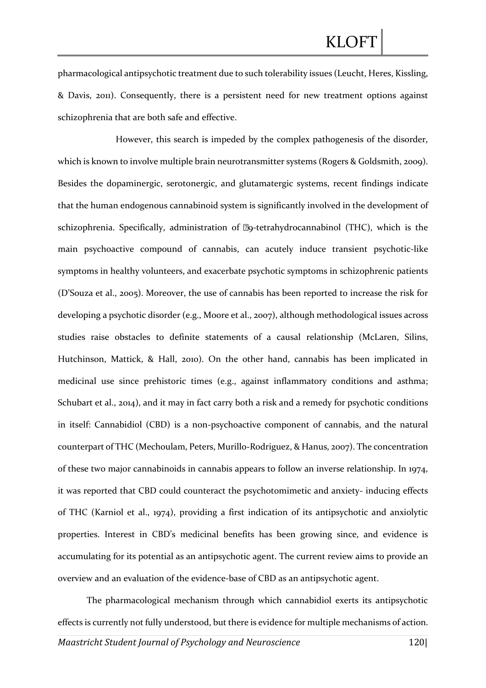pharmacological antipsychotic treatment due to such tolerability issues (Leucht, Heres, Kissling, & Davis, 2011). Consequently, there is a persistent need for new treatment options against schizophrenia that are both safe and effective.

However, this search is impeded by the complex pathogenesis of the disorder, which is known to involve multiple brain neurotransmitter systems (Rogers & Goldsmith, 2009). Besides the dopaminergic, serotonergic, and glutamatergic systems, recent findings indicate that the human endogenous cannabinoid system is significantly involved in the development of schizophrenia. Specifically, administration of  $\mathbb{Z}_9$ -tetrahydrocannabinol (THC), which is the main psychoactive compound of cannabis, can acutely induce transient psychotic-like symptoms in healthy volunteers, and exacerbate psychotic symptoms in schizophrenic patients (D'Souza et al., 2005). Moreover, the use of cannabis has been reported to increase the risk for developing a psychotic disorder (e.g., Moore et al., 2007), although methodological issues across studies raise obstacles to definite statements of a causal relationship (McLaren, Silins, Hutchinson, Mattick, & Hall, 2010). On the other hand, cannabis has been implicated in medicinal use since prehistoric times (e.g., against inflammatory conditions and asthma; Schubart et al., 2014), and it may in fact carry both a risk and a remedy for psychotic conditions in itself: Cannabidiol (CBD) is a non-psychoactive component of cannabis, and the natural counterpart of THC (Mechoulam, Peters, Murillo-Rodriguez, & Hanus, 2007). The concentration of these two major cannabinoids in cannabis appears to follow an inverse relationship. In 1974, it was reported that CBD could counteract the psychotomimetic and anxiety- inducing effects of THC (Karniol et al., 1974), providing a first indication of its antipsychotic and anxiolytic properties. Interest in CBD's medicinal benefits has been growing since, and evidence is accumulating for its potential as an antipsychotic agent. The current review aims to provide an overview and an evaluation of the evidence-base of CBD as an antipsychotic agent.

The pharmacological mechanism through which cannabidiol exerts its antipsychotic effects is currently not fully understood, but there is evidence for multiple mechanisms of action.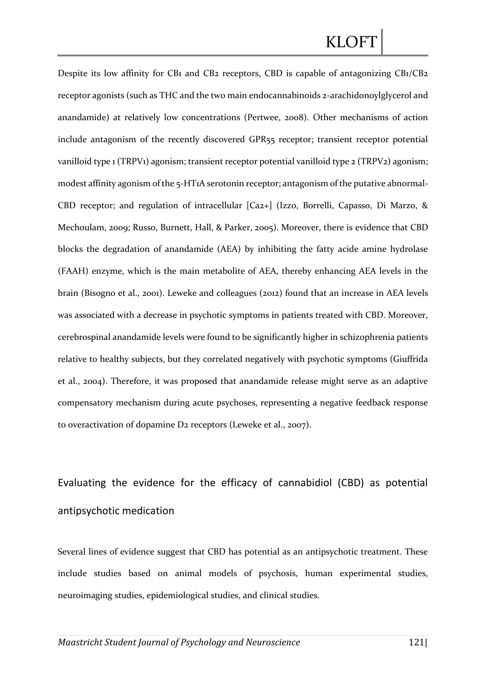Despite its low affinity for CB1 and CB2 receptors, CBD is capable of antagonizing CB1/CB2 receptor agonists (such as THC and the two main endocannabinoids 2-arachidonoylglycerol and anandamide) at relatively low concentrations (Pertwee, 2008). Other mechanisms of action include antagonism of the recently discovered GPR55 receptor; transient receptor potential vanilloid type 1 (TRPV1) agonism; transient receptor potential vanilloid type 2 (TRPV2) agonism; modest affinity agonism of the 5-HT1A serotonin receptor; antagonism of the putative abnormal-CBD receptor; and regulation of intracellular [Ca2+] (Izzo, Borrelli, Capasso, Di Marzo, & Mechoulam, 2009; Russo, Burnett, Hall, & Parker, 2005). Moreover, there is evidence that CBD blocks the degradation of anandamide (AEA) by inhibiting the fatty acide amine hydrolase (FAAH) enzyme, which is the main metabolite of AEA, thereby enhancing AEA levels in the brain (Bisogno et al., 2001). Leweke and colleagues (2012) found that an increase in AEA levels was associated with a decrease in psychotic symptoms in patients treated with CBD. Moreover, cerebrospinal anandamide levels were found to be significantly higher in schizophrenia patients relative to healthy subjects, but they correlated negatively with psychotic symptoms (Giuffrida et al., 2004). Therefore, it was proposed that anandamide release might serve as an adaptive compensatory mechanism during acute psychoses, representing a negative feedback response to overactivation of dopamine D2 receptors (Leweke et al., 2007).

# Evaluating the evidence for the efficacy of cannabidiol (CBD) as potential antipsychotic medication

Several lines of evidence suggest that CBD has potential as an antipsychotic treatment. These include studies based on animal models of psychosis, human experimental studies, neuroimaging studies, epidemiological studies, and clinical studies.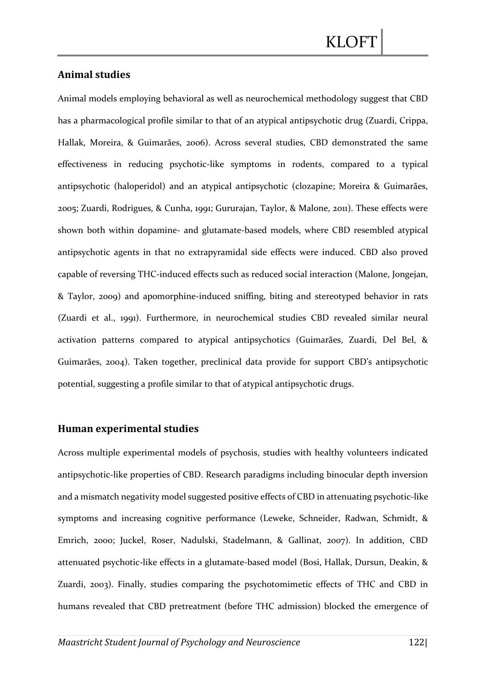### **Animal studies**

Animal models employing behavioral as well as neurochemical methodology suggest that CBD has a pharmacological profile similar to that of an atypical antipsychotic drug (Zuardi, Crippa, Hallak, Moreira, & Guimarães, 2006). Across several studies, CBD demonstrated the same effectiveness in reducing psychotic-like symptoms in rodents, compared to a typical antipsychotic (haloperidol) and an atypical antipsychotic (clozapine; Moreira & Guimarães, 2005; Zuardi, Rodrigues, & Cunha, 1991; Gururajan, Taylor, & Malone, 2011). These effects were shown both within dopamine- and glutamate-based models, where CBD resembled atypical antipsychotic agents in that no extrapyramidal side effects were induced. CBD also proved capable of reversing THC-induced effects such as reduced social interaction (Malone, Jongejan, & Taylor, 2009) and apomorphine-induced sniffing, biting and stereotyped behavior in rats (Zuardi et al., 1991). Furthermore, in neurochemical studies CBD revealed similar neural activation patterns compared to atypical antipsychotics (Guimarães, Zuardi, Del Bel, & Guimarães, 2004). Taken together, preclinical data provide for support CBD's antipsychotic potential, suggesting a profile similar to that of atypical antipsychotic drugs.

### **Human experimental studies**

Across multiple experimental models of psychosis, studies with healthy volunteers indicated antipsychotic-like properties of CBD. Research paradigms including binocular depth inversion and a mismatch negativity model suggested positive effects of CBD in attenuating psychotic-like symptoms and increasing cognitive performance (Leweke, Schneider, Radwan, Schmidt, & Emrich, 2000; Juckel, Roser, Nadulski, Stadelmann, & Gallinat, 2007). In addition, CBD attenuated psychotic-like effects in a glutamate-based model (Bosi, Hallak, Dursun, Deakin, & Zuardi, 2003). Finally, studies comparing the psychotomimetic effects of THC and CBD in humans revealed that CBD pretreatment (before THC admission) blocked the emergence of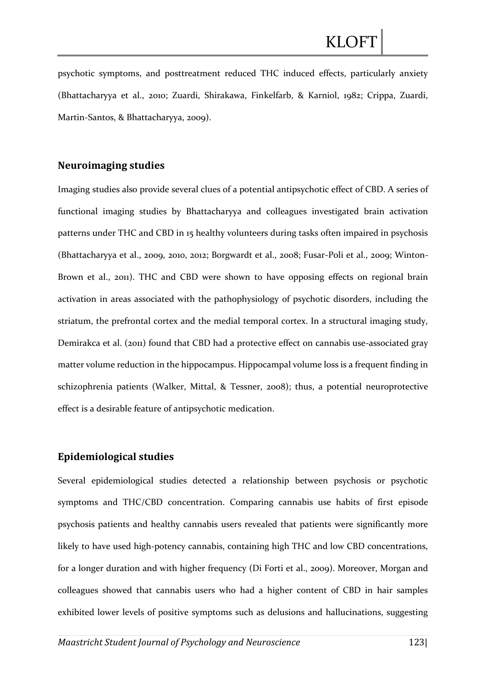psychotic symptoms, and posttreatment reduced THC induced effects, particularly anxiety (Bhattacharyya et al., 2010; Zuardi, Shirakawa, Finkelfarb, & Karniol, 1982; Crippa, Zuardi, Martin-Santos, & Bhattacharyya, 2009).

### **Neuroimaging studies**

Imaging studies also provide several clues of a potential antipsychotic effect of CBD. A series of functional imaging studies by Bhattacharyya and colleagues investigated brain activation patterns under THC and CBD in 15 healthy volunteers during tasks often impaired in psychosis (Bhattacharyya et al., 2009, 2010, 2012; Borgwardt et al., 2008; Fusar-Poli et al., 2009; Winton-Brown et al., 2011). THC and CBD were shown to have opposing effects on regional brain activation in areas associated with the pathophysiology of psychotic disorders, including the striatum, the prefrontal cortex and the medial temporal cortex. In a structural imaging study, Demirakca et al. (2011) found that CBD had a protective effect on cannabis use-associated gray matter volume reduction in the hippocampus. Hippocampal volume loss is a frequent finding in schizophrenia patients (Walker, Mittal, & Tessner, 2008); thus, a potential neuroprotective effect is a desirable feature of antipsychotic medication.

#### **Epidemiological studies**

Several epidemiological studies detected a relationship between psychosis or psychotic symptoms and THC/CBD concentration. Comparing cannabis use habits of first episode psychosis patients and healthy cannabis users revealed that patients were significantly more likely to have used high-potency cannabis, containing high THC and low CBD concentrations, for a longer duration and with higher frequency (Di Forti et al., 2009). Moreover, Morgan and colleagues showed that cannabis users who had a higher content of CBD in hair samples exhibited lower levels of positive symptoms such as delusions and hallucinations, suggesting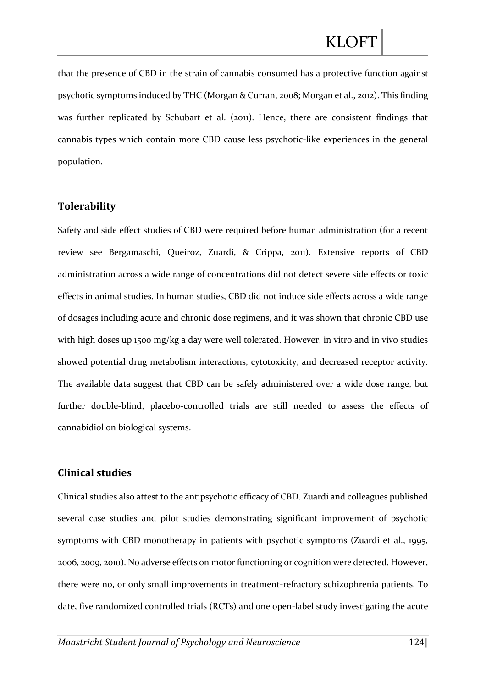that the presence of CBD in the strain of cannabis consumed has a protective function against psychotic symptoms induced by THC (Morgan & Curran, 2008; Morgan et al., 2012). This finding was further replicated by Schubart et al. (2011). Hence, there are consistent findings that cannabis types which contain more CBD cause less psychotic-like experiences in the general population.

### **Tolerability**

Safety and side effect studies of CBD were required before human administration (for a recent review see Bergamaschi, Queiroz, Zuardi, & Crippa, 2011). Extensive reports of CBD administration across a wide range of concentrations did not detect severe side effects or toxic effects in animal studies. In human studies, CBD did not induce side effects across a wide range of dosages including acute and chronic dose regimens, and it was shown that chronic CBD use with high doses up 1500 mg/kg a day were well tolerated. However, in vitro and in vivo studies showed potential drug metabolism interactions, cytotoxicity, and decreased receptor activity. The available data suggest that CBD can be safely administered over a wide dose range, but further double-blind, placebo-controlled trials are still needed to assess the effects of cannabidiol on biological systems.

#### **Clinical studies**

Clinical studies also attest to the antipsychotic efficacy of CBD. Zuardi and colleagues published several case studies and pilot studies demonstrating significant improvement of psychotic symptoms with CBD monotherapy in patients with psychotic symptoms (Zuardi et al., 1995, 2006, 2009, 2010). No adverse effects on motor functioning or cognition were detected. However, there were no, or only small improvements in treatment-refractory schizophrenia patients. To date, five randomized controlled trials (RCTs) and one open-label study investigating the acute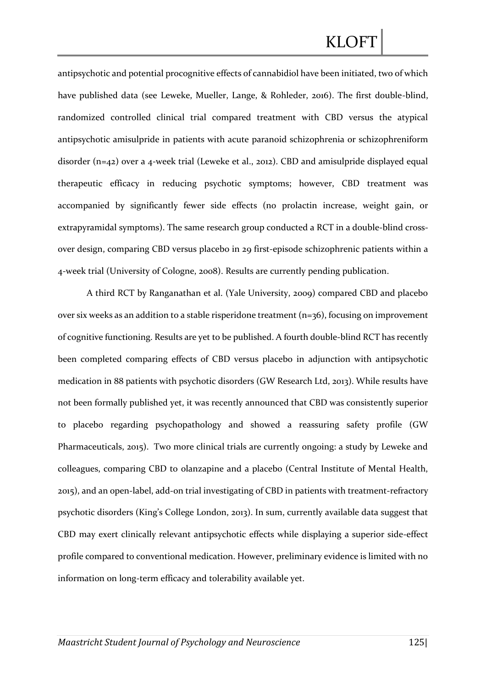antipsychotic and potential procognitive effects of cannabidiol have been initiated, two of which have published data (see Leweke, Mueller, Lange, & Rohleder, 2016). The first double-blind, randomized controlled clinical trial compared treatment with CBD versus the atypical antipsychotic amisulpride in patients with acute paranoid schizophrenia or schizophreniform disorder (n=42) over a 4-week trial (Leweke et al., 2012). CBD and amisulpride displayed equal therapeutic efficacy in reducing psychotic symptoms; however, CBD treatment was accompanied by significantly fewer side effects (no prolactin increase, weight gain, or extrapyramidal symptoms). The same research group conducted a RCT in a double-blind crossover design, comparing CBD versus placebo in 29 first-episode schizophrenic patients within a 4-week trial (University of Cologne, 2008). Results are currently pending publication.

A third RCT by Ranganathan et al. (Yale University, 2009) compared CBD and placebo over six weeks as an addition to a stable risperidone treatment  $(n=36)$ , focusing on improvement of cognitive functioning. Results are yet to be published. A fourth double-blind RCT has recently been completed comparing effects of CBD versus placebo in adjunction with antipsychotic medication in 88 patients with psychotic disorders (GW Research Ltd, 2013). While results have not been formally published yet, it was recently announced that CBD was consistently superior to placebo regarding psychopathology and showed a reassuring safety profile (GW Pharmaceuticals, 2015). Two more clinical trials are currently ongoing: a study by Leweke and colleagues, comparing CBD to olanzapine and a placebo (Central Institute of Mental Health, 2015), and an open-label, add-on trial investigating of CBD in patients with treatment-refractory psychotic disorders (King's College London, 2013). In sum, currently available data suggest that CBD may exert clinically relevant antipsychotic effects while displaying a superior side-effect profile compared to conventional medication. However, preliminary evidence is limited with no information on long-term efficacy and tolerability available yet.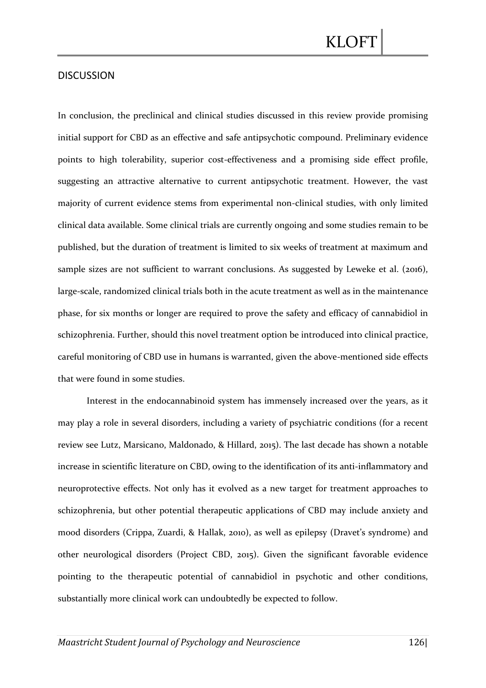### DISCUSSION

In conclusion, the preclinical and clinical studies discussed in this review provide promising initial support for CBD as an effective and safe antipsychotic compound. Preliminary evidence points to high tolerability, superior cost-effectiveness and a promising side effect profile, suggesting an attractive alternative to current antipsychotic treatment. However, the vast majority of current evidence stems from experimental non-clinical studies, with only limited clinical data available. Some clinical trials are currently ongoing and some studies remain to be published, but the duration of treatment is limited to six weeks of treatment at maximum and sample sizes are not sufficient to warrant conclusions. As suggested by Leweke et al. (2016), large-scale, randomized clinical trials both in the acute treatment as well as in the maintenance phase, for six months or longer are required to prove the safety and efficacy of cannabidiol in schizophrenia. Further, should this novel treatment option be introduced into clinical practice, careful monitoring of CBD use in humans is warranted, given the above-mentioned side effects that were found in some studies.

Interest in the endocannabinoid system has immensely increased over the years, as it may play a role in several disorders, including a variety of psychiatric conditions (for a recent review see Lutz, Marsicano, Maldonado, & Hillard, 2015). The last decade has shown a notable increase in scientific literature on CBD, owing to the identification of its anti-inflammatory and neuroprotective effects. Not only has it evolved as a new target for treatment approaches to schizophrenia, but other potential therapeutic applications of CBD may include anxiety and mood disorders (Crippa, Zuardi, & Hallak, 2010), as well as epilepsy (Dravet's syndrome) and other neurological disorders (Project CBD, 2015). Given the significant favorable evidence pointing to the therapeutic potential of cannabidiol in psychotic and other conditions, substantially more clinical work can undoubtedly be expected to follow.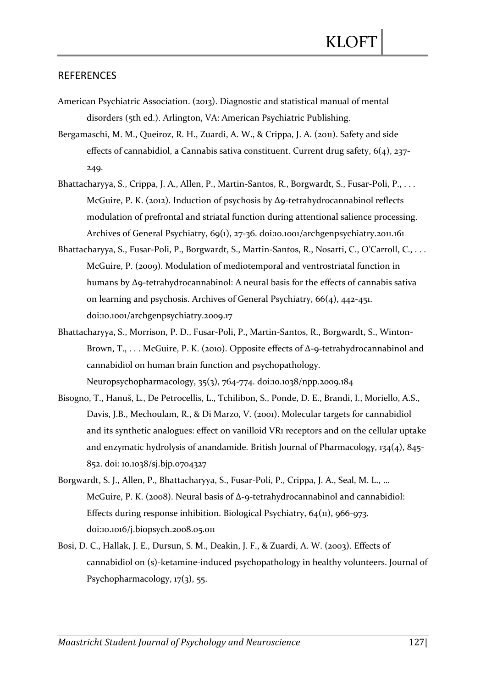### **REFERENCES**

- American Psychiatric Association. (2013). Diagnostic and statistical manual of mental disorders (5th ed.). Arlington, VA: American Psychiatric Publishing.
- Bergamaschi, M. M., Queiroz, R. H., Zuardi, A. W., & Crippa, J. A. (2011). Safety and side effects of cannabidiol, a Cannabis sativa constituent. Current drug safety, 6(4), 237- 249.
- Bhattacharyya, S., Crippa, J. A., Allen, P., Martin-Santos, R., Borgwardt, S., Fusar-Poli, P., . . . McGuire, P. K. (2012). Induction of psychosis by Δ9-tetrahydrocannabinol reflects modulation of prefrontal and striatal function during attentional salience processing. Archives of General Psychiatry, 69(1), 27-36. doi:10.1001/archgenpsychiatry.2011.161
- Bhattacharyya, S., Fusar-Poli, P., Borgwardt, S., Martin-Santos, R., Nosarti, C., O'Carroll, C., . . . McGuire, P. (2009). Modulation of mediotemporal and ventrostriatal function in humans by Δ9-tetrahydrocannabinol: A neural basis for the effects of cannabis sativa on learning and psychosis. Archives of General Psychiatry, 66(4), 442-451. doi:10.1001/archgenpsychiatry.2009.17
- Bhattacharyya, S., Morrison, P. D., Fusar-Poli, P., Martin-Santos, R., Borgwardt, S., Winton-Brown, T., . . . McGuire, P. K. (2010). Opposite effects of Δ-9-tetrahydrocannabinol and cannabidiol on human brain function and psychopathology. Neuropsychopharmacology, 35(3), 764-774. doi:10.1038/npp.2009.184
- Bisogno, T., Hanuš, L., De Petrocellis, L., Tchilibon, S., Ponde, D. E., Brandi, I., Moriello, A.S., Davis, J.B., Mechoulam, R., & Di Marzo, V. (2001). Molecular targets for cannabidiol and its synthetic analogues: effect on vanilloid VR1 receptors and on the cellular uptake and enzymatic hydrolysis of anandamide. British Journal of Pharmacology, 134(4), 845- 852. doi: 10.1038/sj.bjp.0704327
- Borgwardt, S. J., Allen, P., Bhattacharyya, S., Fusar-Poli, P., Crippa, J. A., Seal, M. L., … McGuire, P. K. (2008). Neural basis of Δ-9-tetrahydrocannabinol and cannabidiol: Effects during response inhibition. Biological Psychiatry, 64(11), 966-973. doi:10.1016/j.biopsych.2008.05.011
- Bosi, D. C., Hallak, J. E., Dursun, S. M., Deakin, J. F., & Zuardi, A. W. (2003). Effects of cannabidiol on (s)-ketamine-induced psychopathology in healthy volunteers. Journal of Psychopharmacology, 17(3), 55.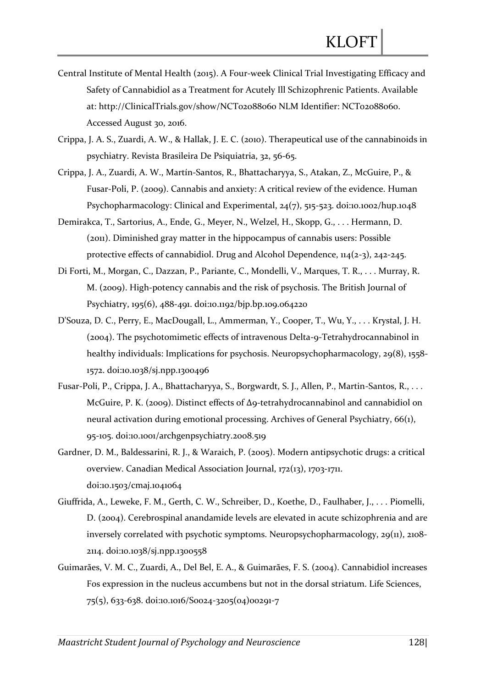- Central Institute of Mental Health (2015). A Four-week Clinical Trial Investigating Efficacy and Safety of Cannabidiol as a Treatment for Acutely Ill Schizophrenic Patients. Available at: http://ClinicalTrials.gov/show/NCT02088060 NLM Identifier: NCT02088060. Accessed August 30, 2016.
- Crippa, J. A. S., Zuardi, A. W., & Hallak, J. E. C. (2010). Therapeutical use of the cannabinoids in psychiatry. Revista Brasileira De Psiquiatria, 32, 56-65.
- Crippa, J. A., Zuardi, A. W., Martín-Santos, R., Bhattacharyya, S., Atakan, Z., McGuire, P., & Fusar-Poli, P. (2009). Cannabis and anxiety: A critical review of the evidence. Human Psychopharmacology: Clinical and Experimental, 24(7), 515-523. doi:10.1002/hup.1048
- Demirakca, T., Sartorius, A., Ende, G., Meyer, N., Welzel, H., Skopp, G., . . . Hermann, D. (2011). Diminished gray matter in the hippocampus of cannabis users: Possible protective effects of cannabidiol. Drug and Alcohol Dependence, 114(2-3), 242-245.
- Di Forti, M., Morgan, C., Dazzan, P., Pariante, C., Mondelli, V., Marques, T. R., . . . Murray, R. M. (2009). High-potency cannabis and the risk of psychosis. The British Journal of Psychiatry, 195(6), 488-491. doi:10.1192/bjp.bp.109.064220
- D'Souza, D. C., Perry, E., MacDougall, L., Ammerman, Y., Cooper, T., Wu, Y., . . . Krystal, J. H. (2004). The psychotomimetic effects of intravenous Delta-9-Tetrahydrocannabinol in healthy individuals: Implications for psychosis. Neuropsychopharmacology, 29(8), 1558- 1572. doi:10.1038/sj.npp.1300496
- Fusar-Poli, P., Crippa, J. A., Bhattacharyya, S., Borgwardt, S. J., Allen, P., Martin-Santos, R., . . . McGuire, P. K. (2009). Distinct effects of Δ9-tetrahydrocannabinol and cannabidiol on neural activation during emotional processing. Archives of General Psychiatry, 66(1), 95-105. doi:10.1001/archgenpsychiatry.2008.519
- Gardner, D. M., Baldessarini, R. J., & Waraich, P. (2005). Modern antipsychotic drugs: a critical overview. Canadian Medical Association Journal, 172(13), 1703-1711. doi:10.1503/cmaj.1041064
- Giuffrida, A., Leweke, F. M., Gerth, C. W., Schreiber, D., Koethe, D., Faulhaber, J., . . . Piomelli, D. (2004). Cerebrospinal anandamide levels are elevated in acute schizophrenia and are inversely correlated with psychotic symptoms. Neuropsychopharmacology, 29(11), 2108- 2114. doi:10.1038/sj.npp.1300558
- Guimarães, V. M. C., Zuardi, A., Del Bel, E. A., & Guimarães, F. S. (2004). Cannabidiol increases Fos expression in the nucleus accumbens but not in the dorsal striatum. Life Sciences, 75(5), 633-638. doi:10.1016/S0024-3205(04)00291-7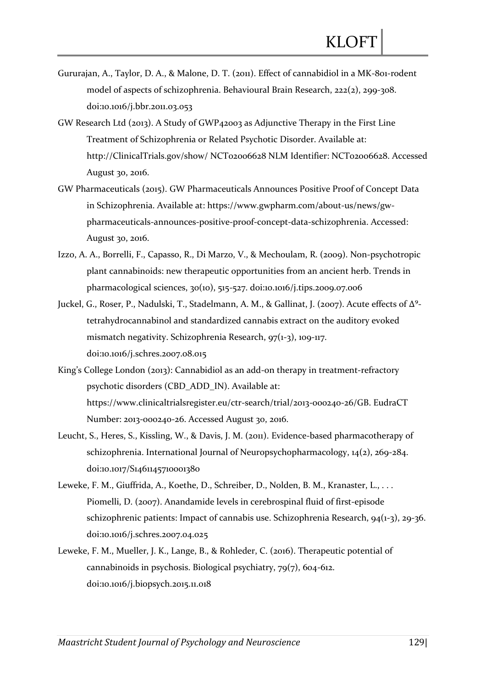- Gururajan, A., Taylor, D. A., & Malone, D. T. (2011). Effect of cannabidiol in a MK-801-rodent model of aspects of schizophrenia. Behavioural Brain Research, 222(2), 299-308. doi:10.1016/j.bbr.2011.03.053
- GW Research Ltd (2013). A Study of GWP42003 as Adjunctive Therapy in the First Line Treatment of Schizophrenia or Related Psychotic Disorder. Available at: http://ClinicalTrials.gov/show/ NCT02006628 NLM Identifier: NCT02006628. Accessed August 30, 2016.
- GW Pharmaceuticals (2015). GW Pharmaceuticals Announces Positive Proof of Concept Data in Schizophrenia. Available at: https://www.gwpharm.com/about-us/news/gwpharmaceuticals-announces-positive-proof-concept-data-schizophrenia. Accessed: August 30, 2016.
- Izzo, A. A., Borrelli, F., Capasso, R., Di Marzo, V., & Mechoulam, R. (2009). Non-psychotropic plant cannabinoids: new therapeutic opportunities from an ancient herb. Trends in pharmacological sciences, 30(10), 515-527. doi:10.1016/j.tips.2009.07.006
- Juckel, G., Roser, P., Nadulski, T., Stadelmann, A. M., & Gallinat, J. (2007). Acute effects of Δ<sup>9</sup>tetrahydrocannabinol and standardized cannabis extract on the auditory evoked mismatch negativity. Schizophrenia Research, 97(1-3), 109-117. doi:10.1016/j.schres.2007.08.015
- King's College London (2013): Cannabidiol as an add-on therapy in treatment-refractory psychotic disorders (CBD\_ADD\_IN). Available at: https://www.clinicaltrialsregister.eu/ctr-search/trial/2013-000240-26/GB. EudraCT Number: 2013-000240-26. Accessed August 30, 2016.
- Leucht, S., Heres, S., Kissling, W., & Davis, J. M. (2011). Evidence-based pharmacotherapy of schizophrenia. International Journal of Neuropsychopharmacology,  $14(2)$ ,  $269-284$ . doi:10.1017/S1461145710001380
- Leweke, F. M., Giuffrida, A., Koethe, D., Schreiber, D., Nolden, B. M., Kranaster, L., ... Piomelli, D. (2007). Anandamide levels in cerebrospinal fluid of first-episode schizophrenic patients: Impact of cannabis use. Schizophrenia Research, 94(1-3), 29-36. doi:10.1016/j.schres.2007.04.025
- Leweke, F. M., Mueller, J. K., Lange, B., & Rohleder, C. (2016). Therapeutic potential of cannabinoids in psychosis. Biological psychiatry, 79(7), 604-612. doi:10.1016/j.biopsych.2015.11.018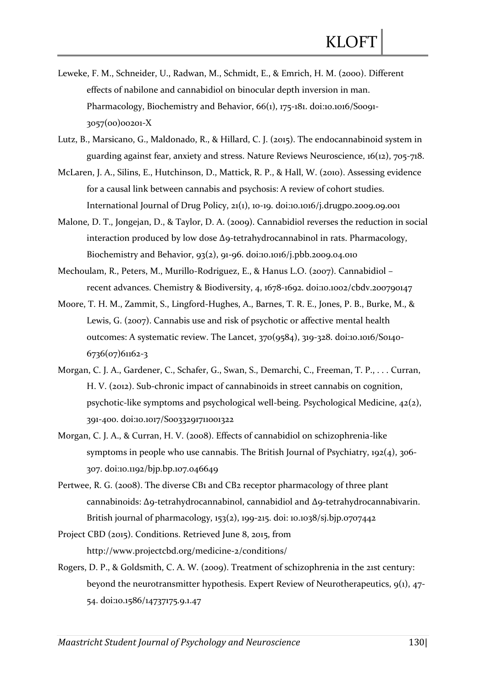- Leweke, F. M., Schneider, U., Radwan, M., Schmidt, E., & Emrich, H. M. (2000). Different effects of nabilone and cannabidiol on binocular depth inversion in man. Pharmacology, Biochemistry and Behavior, 66(1), 175-181. doi:10.1016/S0091-3057(00)00201-X
- Lutz, B., Marsicano, G., Maldonado, R., & Hillard, C. J. (2015). The endocannabinoid system in guarding against fear, anxiety and stress. Nature Reviews Neuroscience, 16(12), 705-718.
- McLaren, J. A., Silins, E., Hutchinson, D., Mattick, R. P., & Hall, W. (2010). Assessing evidence for a causal link between cannabis and psychosis: A review of cohort studies. International Journal of Drug Policy, 21(1), 10-19. doi:10.1016/j.drugpo.2009.09.001
- Malone, D. T., Jongejan, D., & Taylor, D. A. (2009). Cannabidiol reverses the reduction in social interaction produced by low dose  $\Delta$ 9-tetrahydrocannabinol in rats. Pharmacology, Biochemistry and Behavior, 93(2), 91-96. doi:10.1016/j.pbb.2009.04.010
- Mechoulam, R., Peters, M., Murillo-Rodriguez, E., & Hanus L.O. (2007). Cannabidiol recent advances. Chemistry & Biodiversity, 4, 1678-1692. doi:10.1002/cbdv.200790147
- Moore, T. H. M., Zammit, S., Lingford-Hughes, A., Barnes, T. R. E., Jones, P. B., Burke, M., & Lewis, G. (2007). Cannabis use and risk of psychotic or affective mental health outcomes: A systematic review. The Lancet, 370(9584), 319-328. doi:10.1016/S0140- 6736(07)61162-3
- Morgan, C. J. A., Gardener, C., Schafer, G., Swan, S., Demarchi, C., Freeman, T. P., . . . Curran, H. V. (2012). Sub-chronic impact of cannabinoids in street cannabis on cognition, psychotic-like symptoms and psychological well-being. Psychological Medicine, 42(2), 391-400. doi:10.1017/S0033291711001322
- Morgan, C. J. A., & Curran, H. V. (2008). Effects of cannabidiol on schizophrenia-like symptoms in people who use cannabis. The British Journal of Psychiatry, 192(4), 306- 307. doi:10.1192/bjp.bp.107.046649
- Pertwee, R. G. (2008). The diverse CB1 and CB2 receptor pharmacology of three plant cannabinoids: Δ9-tetrahydrocannabinol, cannabidiol and Δ9-tetrahydrocannabivarin. British journal of pharmacology, 153(2), 199-215. doi: 10.1038/sj.bjp.0707442
- Project CBD (2015). Conditions. Retrieved June 8, 2015, from http://www.projectcbd.org/medicine-2/conditions/
- Rogers, D. P., & Goldsmith, C. A. W. (2009). Treatment of schizophrenia in the 21st century: beyond the neurotransmitter hypothesis. Expert Review of Neurotherapeutics, 9(1), 47- 54. doi:10.1586/14737175.9.1.47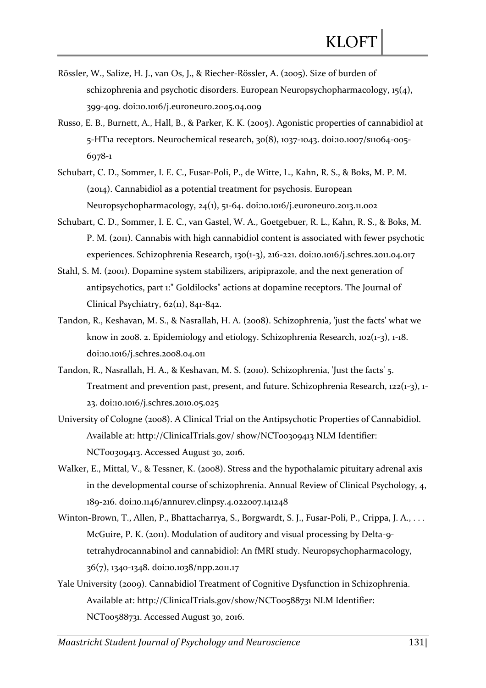- Rössler, W., Salize, H. J., van Os, J., & Riecher-Rössler, A. (2005). Size of burden of schizophrenia and psychotic disorders. European Neuropsychopharmacology, 15(4), 399-409. doi:10.1016/j.euroneuro.2005.04.009
- Russo, E. B., Burnett, A., Hall, B., & Parker, K. K. (2005). Agonistic properties of cannabidiol at 5-HT1a receptors. Neurochemical research, 30(8), 1037-1043. doi:10.1007/s11064-005- 6978-1
- Schubart, C. D., Sommer, I. E. C., Fusar-Poli, P., de Witte, L., Kahn, R. S., & Boks, M. P. M. (2014). Cannabidiol as a potential treatment for psychosis. European Neuropsychopharmacology, 24(1), 51-64. doi:10.1016/j.euroneuro.2013.11.002
- Schubart, C. D., Sommer, I. E. C., van Gastel, W. A., Goetgebuer, R. L., Kahn, R. S., & Boks, M. P. M. (2011). Cannabis with high cannabidiol content is associated with fewer psychotic experiences. Schizophrenia Research, 130(1-3), 216-221. doi:10.1016/j.schres.2011.04.017
- Stahl, S. M. (2001). Dopamine system stabilizers, aripiprazole, and the next generation of antipsychotics, part 1:" Goldilocks" actions at dopamine receptors. The Journal of Clinical Psychiatry, 62(11), 841-842.
- Tandon, R., Keshavan, M. S., & Nasrallah, H. A. (2008). Schizophrenia, 'just the facts' what we know in 2008. 2. Epidemiology and etiology. Schizophrenia Research, 102(1-3), 1-18. doi:10.1016/j.schres.2008.04.011
- Tandon, R., Nasrallah, H. A., & Keshavan, M. S. (2010). Schizophrenia, 'Just the facts' 5. Treatment and prevention past, present, and future. Schizophrenia Research, 122(1-3), 1- 23. doi:10.1016/j.schres.2010.05.025
- University of Cologne (2008). A Clinical Trial on the Antipsychotic Properties of Cannabidiol. Available at: http://ClinicalTrials.gov/ show/NCT00309413 NLM Identifier: NCT00309413. Accessed August 30, 2016.
- Walker, E., Mittal, V., & Tessner, K. (2008). Stress and the hypothalamic pituitary adrenal axis in the developmental course of schizophrenia. Annual Review of Clinical Psychology, 4, 189-216. doi:10.1146/annurev.clinpsy.4.022007.141248
- Winton-Brown, T., Allen, P., Bhattacharrya, S., Borgwardt, S. J., Fusar-Poli, P., Crippa, J. A., . . . McGuire, P. K. (2011). Modulation of auditory and visual processing by Delta-9 tetrahydrocannabinol and cannabidiol: An fMRI study. Neuropsychopharmacology, 36(7), 1340-1348. doi:10.1038/npp.2011.17
- Yale University (2009). Cannabidiol Treatment of Cognitive Dysfunction in Schizophrenia. Available at: http://ClinicalTrials.gov/show/NCT00588731 NLM Identifier: NCT00588731. Accessed August 30, 2016.